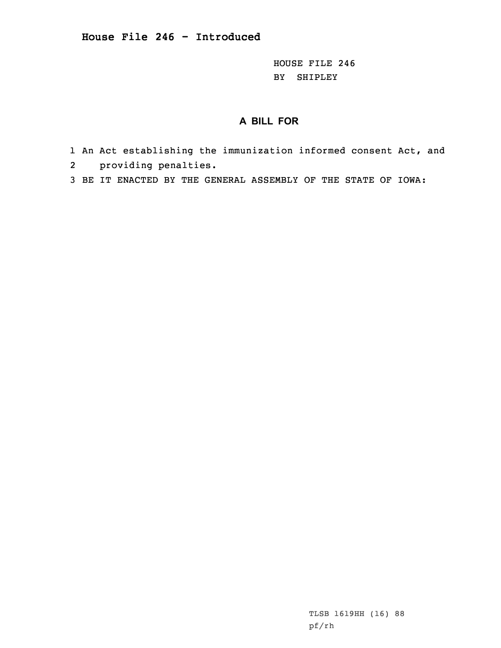HOUSE FILE 246 BY SHIPLEY

## **A BILL FOR**

- 1 An Act establishing the immunization informed consent Act, and
- 2 providing penalties.
- 3 BE IT ENACTED BY THE GENERAL ASSEMBLY OF THE STATE OF IOWA:

TLSB 1619HH (16) 88 pf/rh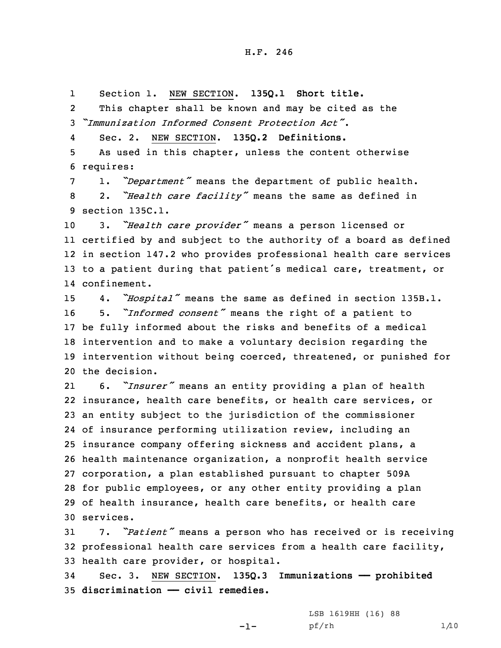1Section 1. NEW SECTION. **135Q.1 Short title.**

2 This chapter shall be known and may be cited as the 3 *"Immunization Informed Consent Protection Act"*.

4Sec. 2. NEW SECTION. **135Q.2 Definitions.**

5 As used in this chapter, unless the content otherwise 6 requires:

<sup>7</sup> 1. *"Department"* means the department of public health. <sup>8</sup> 2. *"Health care facility"* means the same as defined in 9 section 135C.1.

 3. *"Health care provider"* means <sup>a</sup> person licensed or certified by and subject to the authority of <sup>a</sup> board as defined in section 147.2 who provides professional health care services to <sup>a</sup> patient during that patient's medical care, treatment, or confinement.

 4. *"Hospital"* means the same as defined in section 135B.1. 5. *"Informed consent"* means the right of <sup>a</sup> patient to be fully informed about the risks and benefits of <sup>a</sup> medical intervention and to make <sup>a</sup> voluntary decision regarding the intervention without being coerced, threatened, or punished for the decision.

21 6. *"Insurer"* means an entity providing <sup>a</sup> plan of health insurance, health care benefits, or health care services, or an entity subject to the jurisdiction of the commissioner of insurance performing utilization review, including an insurance company offering sickness and accident plans, <sup>a</sup> health maintenance organization, <sup>a</sup> nonprofit health service corporation, <sup>a</sup> plan established pursuant to chapter 509A for public employees, or any other entity providing <sup>a</sup> plan of health insurance, health care benefits, or health care services.

<sup>31</sup> 7. *"Patient"* means <sup>a</sup> person who has received or is receiving 32 professional health care services from <sup>a</sup> health care facility, 33 health care provider, or hospital.

34 Sec. 3. NEW SECTION. **135Q.3 Immunizations —— prohibited** 35 **discrimination —— civil remedies.**

 $-1-$ 

LSB 1619HH (16) 88 pf/rh 1/10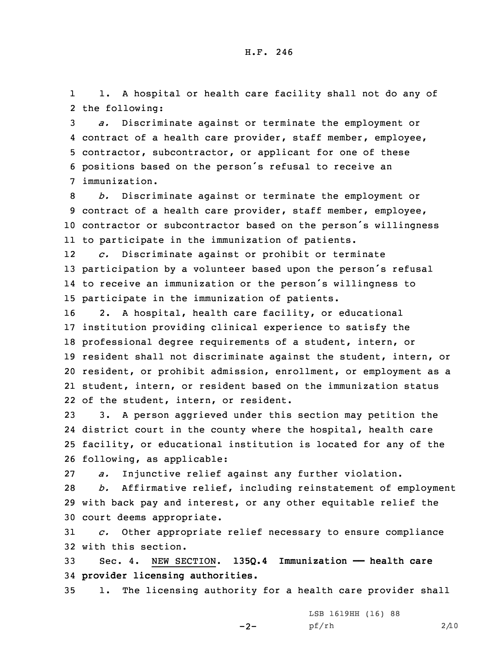1 1. <sup>A</sup> hospital or health care facility shall not do any of 2 the following:

 *a.* Discriminate against or terminate the employment or contract of <sup>a</sup> health care provider, staff member, employee, contractor, subcontractor, or applicant for one of these positions based on the person's refusal to receive an immunization.

 *b.* Discriminate against or terminate the employment or contract of <sup>a</sup> health care provider, staff member, employee, contractor or subcontractor based on the person's willingness to participate in the immunization of patients.

12 *c.* Discriminate against or prohibit or terminate <sup>13</sup> participation by <sup>a</sup> volunteer based upon the person's refusal 14 to receive an immunization or the person's willingness to 15 participate in the immunization of patients.

 2. <sup>A</sup> hospital, health care facility, or educational institution providing clinical experience to satisfy the professional degree requirements of <sup>a</sup> student, intern, or resident shall not discriminate against the student, intern, or resident, or prohibit admission, enrollment, or employment as <sup>a</sup> student, intern, or resident based on the immunization status of the student, intern, or resident.

 3. <sup>A</sup> person aggrieved under this section may petition the district court in the county where the hospital, health care facility, or educational institution is located for any of the following, as applicable:

27 *a.* Injunctive relief against any further violation.

28 *b.* Affirmative relief, including reinstatement of employment 29 with back pay and interest, or any other equitable relief the 30 court deems appropriate.

31 *c.* Other appropriate relief necessary to ensure compliance 32 with this section.

33 Sec. 4. NEW SECTION. **135Q.4 Immunization —— health care** 34 **provider licensing authorities.**

 $-2-$ 

35 1. The licensing authority for <sup>a</sup> health care provider shall

LSB 1619HH (16) 88 pf/rh 2/10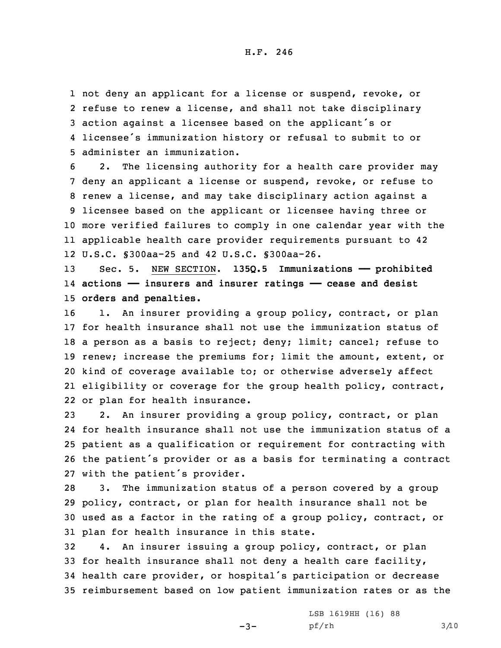not deny an applicant for <sup>a</sup> license or suspend, revoke, or refuse to renew <sup>a</sup> license, and shall not take disciplinary action against <sup>a</sup> licensee based on the applicant's or licensee's immunization history or refusal to submit to or administer an immunization.

 2. The licensing authority for <sup>a</sup> health care provider may deny an applicant <sup>a</sup> license or suspend, revoke, or refuse to renew <sup>a</sup> license, and may take disciplinary action against <sup>a</sup> licensee based on the applicant or licensee having three or more verified failures to comply in one calendar year with the applicable health care provider requirements pursuant to 42 U.S.C. §300aa-25 and 42 U.S.C. §300aa-26.

13 Sec. 5. NEW SECTION. **135Q.5 Immunizations —— prohibited** 14 **actions —— insurers and insurer ratings —— cease and desist** 15 **orders and penalties.**

16 1. An insurer providing a group policy, contract, or plan for health insurance shall not use the immunization status of <sup>a</sup> person as <sup>a</sup> basis to reject; deny; limit; cancel; refuse to 19 renew; increase the premiums for; limit the amount, extent, or kind of coverage available to; or otherwise adversely affect eligibility or coverage for the group health policy, contract, or plan for health insurance.

 2. An insurer providing <sup>a</sup> group policy, contract, or plan for health insurance shall not use the immunization status of <sup>a</sup> patient as <sup>a</sup> qualification or requirement for contracting with the patient's provider or as <sup>a</sup> basis for terminating <sup>a</sup> contract with the patient's provider.

 3. The immunization status of <sup>a</sup> person covered by <sup>a</sup> group policy, contract, or plan for health insurance shall not be used as <sup>a</sup> factor in the rating of <sup>a</sup> group policy, contract, or plan for health insurance in this state.

 4. An insurer issuing <sup>a</sup> group policy, contract, or plan for health insurance shall not deny <sup>a</sup> health care facility, health care provider, or hospital's participation or decrease reimbursement based on low patient immunization rates or as the

 $-3-$ 

LSB 1619HH (16) 88 pf/rh 3/10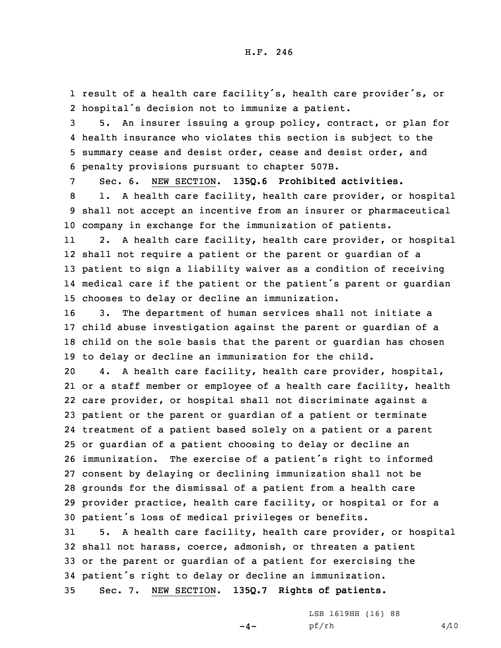1 result of <sup>a</sup> health care facility's, health care provider's, or 2 hospital's decision not to immunize <sup>a</sup> patient.

 5. An insurer issuing <sup>a</sup> group policy, contract, or plan for health insurance who violates this section is subject to the summary cease and desist order, cease and desist order, and penalty provisions pursuant to chapter 507B.

 Sec. 6. NEW SECTION. **135Q.6 Prohibited activities.** 1. <sup>A</sup> health care facility, health care provider, or hospital shall not accept an incentive from an insurer or pharmaceutical company in exchange for the immunization of patients.

11 2. <sup>A</sup> health care facility, health care provider, or hospital shall not require <sup>a</sup> patient or the parent or guardian of <sup>a</sup> patient to sign <sup>a</sup> liability waiver as <sup>a</sup> condition of receiving medical care if the patient or the patient's parent or guardian chooses to delay or decline an immunization.

 3. The department of human services shall not initiate <sup>a</sup> child abuse investigation against the parent or guardian of <sup>a</sup> child on the sole basis that the parent or guardian has chosen to delay or decline an immunization for the child.

 4. <sup>A</sup> health care facility, health care provider, hospital, or <sup>a</sup> staff member or employee of <sup>a</sup> health care facility, health care provider, or hospital shall not discriminate against <sup>a</sup> patient or the parent or guardian of <sup>a</sup> patient or terminate treatment of <sup>a</sup> patient based solely on <sup>a</sup> patient or <sup>a</sup> parent or guardian of <sup>a</sup> patient choosing to delay or decline an immunization. The exercise of <sup>a</sup> patient's right to informed consent by delaying or declining immunization shall not be grounds for the dismissal of <sup>a</sup> patient from <sup>a</sup> health care provider practice, health care facility, or hospital or for <sup>a</sup> patient's loss of medical privileges or benefits.

 5. <sup>A</sup> health care facility, health care provider, or hospital shall not harass, coerce, admonish, or threaten <sup>a</sup> patient or the parent or guardian of <sup>a</sup> patient for exercising the patient's right to delay or decline an immunization. Sec. 7. NEW SECTION. **135Q.7 Rights of patients.**

 $-4-$ 

LSB 1619HH (16) 88 pf/rh 4/10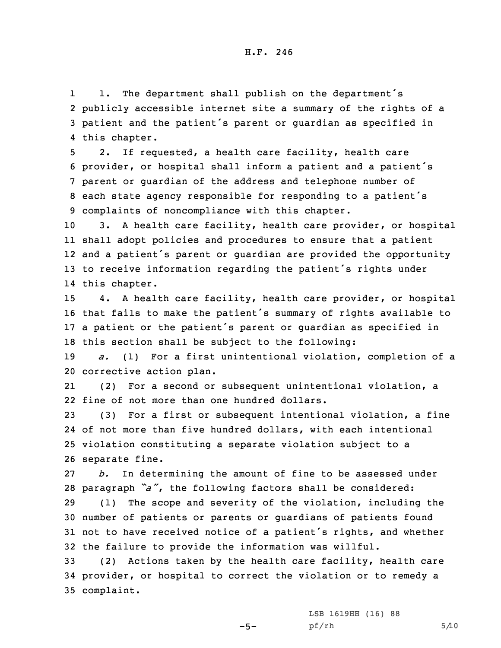H.F. 246

1 1. The department shall publish on the department's 2 publicly accessible internet site <sup>a</sup> summary of the rights of <sup>a</sup> <sup>3</sup> patient and the patient's parent or guardian as specified in 4 this chapter.

 2. If requested, <sup>a</sup> health care facility, health care provider, or hospital shall inform <sup>a</sup> patient and <sup>a</sup> patient's parent or guardian of the address and telephone number of each state agency responsible for responding to <sup>a</sup> patient's complaints of noncompliance with this chapter.

 3. <sup>A</sup> health care facility, health care provider, or hospital shall adopt policies and procedures to ensure that <sup>a</sup> patient and <sup>a</sup> patient's parent or guardian are provided the opportunity to receive information regarding the patient's rights under this chapter.

 4. <sup>A</sup> health care facility, health care provider, or hospital that fails to make the patient's summary of rights available to <sup>a</sup> patient or the patient's parent or guardian as specified in this section shall be subject to the following:

19 *a.* (1) For <sup>a</sup> first unintentional violation, completion of <sup>a</sup> 20 corrective action plan.

21 (2) For <sup>a</sup> second or subsequent unintentional violation, <sup>a</sup> 22 fine of not more than one hundred dollars.

 (3) For <sup>a</sup> first or subsequent intentional violation, <sup>a</sup> fine of not more than five hundred dollars, with each intentional violation constituting <sup>a</sup> separate violation subject to <sup>a</sup> separate fine.

27 *b.* In determining the amount of fine to be assessed under <sup>28</sup> paragraph *"a"*, the following factors shall be considered:

 (1) The scope and severity of the violation, including the number of patients or parents or guardians of patients found not to have received notice of <sup>a</sup> patient's rights, and whether the failure to provide the information was willful.

33 (2) Actions taken by the health care facility, health care 34 provider, or hospital to correct the violation or to remedy <sup>a</sup> 35 complaint.

 $-5-$ 

LSB 1619HH (16) 88  $pf/rh$  5/10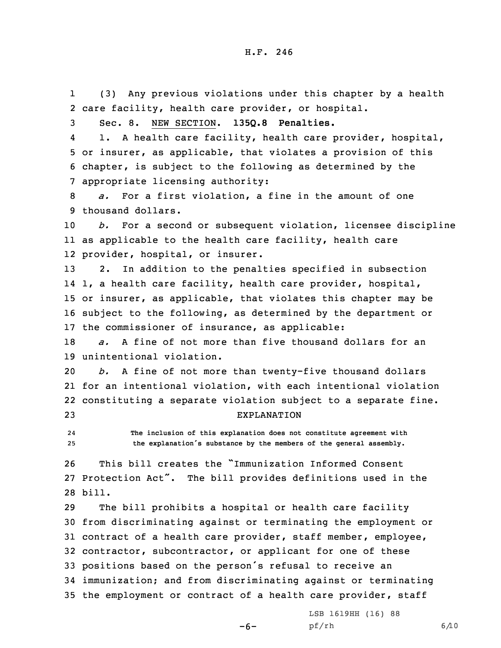1 (3) Any previous violations under this chapter by <sup>a</sup> health 2 care facility, health care provider, or hospital.

3 Sec. 8. NEW SECTION. **135Q.8 Penalties.**

4 1. <sup>A</sup> health care facility, health care provider, hospital, 5 or insurer, as applicable, that violates <sup>a</sup> provision of this 6 chapter, is subject to the following as determined by the 7 appropriate licensing authority:

8 *a.* For <sup>a</sup> first violation, <sup>a</sup> fine in the amount of one 9 thousand dollars.

10 *b.* For <sup>a</sup> second or subsequent violation, licensee discipline 11 as applicable to the health care facility, health care 12 provider, hospital, or insurer.

 2. In addition to the penalties specified in subsection 1, <sup>a</sup> health care facility, health care provider, hospital, or insurer, as applicable, that violates this chapter may be subject to the following, as determined by the department or the commissioner of insurance, as applicable:

18 *a.* A fine of not more than five thousand dollars for an 19 unintentional violation.

 *b.* <sup>A</sup> fine of not more than twenty-five thousand dollars for an intentional violation, with each intentional violation constituting <sup>a</sup> separate violation subject to <sup>a</sup> separate fine. EXPLANATION

24 **The inclusion of this explanation does not constitute agreement with** <sup>25</sup> **the explanation's substance by the members of the general assembly.**

26 This bill creates the "Immunization Informed Consent 27 Protection Act". The bill provides definitions used in the 28 bill.

 The bill prohibits <sup>a</sup> hospital or health care facility from discriminating against or terminating the employment or contract of <sup>a</sup> health care provider, staff member, employee, contractor, subcontractor, or applicant for one of these positions based on the person's refusal to receive an immunization; and from discriminating against or terminating the employment or contract of <sup>a</sup> health care provider, staff

 $-6-$ 

LSB 1619HH (16) 88 pf/rh 6/10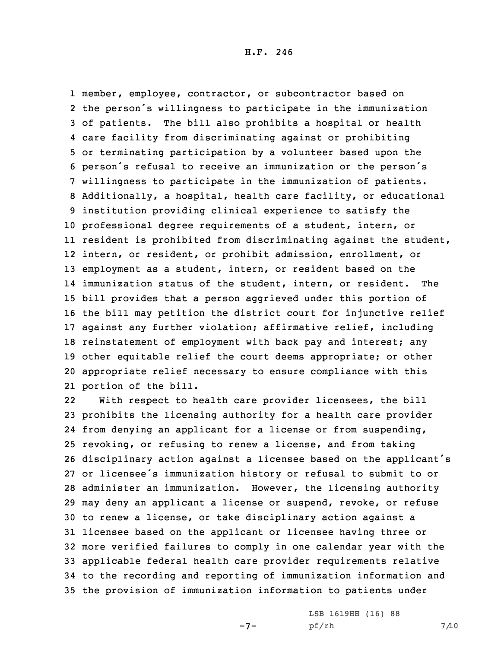member, employee, contractor, or subcontractor based on the person's willingness to participate in the immunization of patients. The bill also prohibits <sup>a</sup> hospital or health care facility from discriminating against or prohibiting or terminating participation by <sup>a</sup> volunteer based upon the person's refusal to receive an immunization or the person's willingness to participate in the immunization of patients. Additionally, <sup>a</sup> hospital, health care facility, or educational institution providing clinical experience to satisfy the professional degree requirements of <sup>a</sup> student, intern, or resident is prohibited from discriminating against the student, intern, or resident, or prohibit admission, enrollment, or employment as <sup>a</sup> student, intern, or resident based on the immunization status of the student, intern, or resident. The bill provides that <sup>a</sup> person aggrieved under this portion of the bill may petition the district court for injunctive relief against any further violation; affirmative relief, including 18 reinstatement of employment with back pay and interest; any other equitable relief the court deems appropriate; or other appropriate relief necessary to ensure compliance with this portion of the bill.

22 With respect to health care provider licensees, the bill prohibits the licensing authority for <sup>a</sup> health care provider from denying an applicant for <sup>a</sup> license or from suspending, revoking, or refusing to renew <sup>a</sup> license, and from taking disciplinary action against <sup>a</sup> licensee based on the applicant's or licensee's immunization history or refusal to submit to or administer an immunization. However, the licensing authority may deny an applicant <sup>a</sup> license or suspend, revoke, or refuse to renew <sup>a</sup> license, or take disciplinary action against <sup>a</sup> licensee based on the applicant or licensee having three or more verified failures to comply in one calendar year with the applicable federal health care provider requirements relative to the recording and reporting of immunization information and the provision of immunization information to patients under

-7-

LSB 1619HH (16) 88 pf/rh 7/10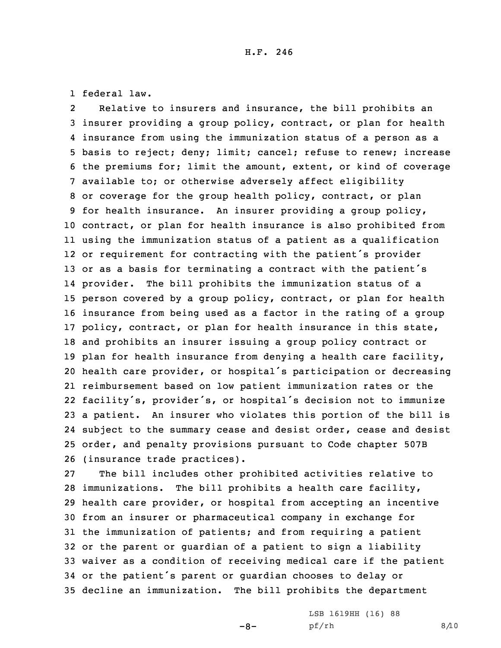1 federal law.

2 Relative to insurers and insurance, the bill prohibits an insurer providing <sup>a</sup> group policy, contract, or plan for health insurance from using the immunization status of <sup>a</sup> person as <sup>a</sup> basis to reject; deny; limit; cancel; refuse to renew; increase the premiums for; limit the amount, extent, or kind of coverage available to; or otherwise adversely affect eligibility or coverage for the group health policy, contract, or plan for health insurance. An insurer providing <sup>a</sup> group policy, contract, or plan for health insurance is also prohibited from using the immunization status of <sup>a</sup> patient as <sup>a</sup> qualification or requirement for contracting with the patient's provider 13 or as a basis for terminating a contract with the patient's provider. The bill prohibits the immunization status of <sup>a</sup> person covered by <sup>a</sup> group policy, contract, or plan for health insurance from being used as <sup>a</sup> factor in the rating of <sup>a</sup> group policy, contract, or plan for health insurance in this state, and prohibits an insurer issuing <sup>a</sup> group policy contract or plan for health insurance from denying <sup>a</sup> health care facility, health care provider, or hospital's participation or decreasing reimbursement based on low patient immunization rates or the facility's, provider's, or hospital's decision not to immunize <sup>a</sup> patient. An insurer who violates this portion of the bill is subject to the summary cease and desist order, cease and desist order, and penalty provisions pursuant to Code chapter 507B (insurance trade practices).

 The bill includes other prohibited activities relative to immunizations. The bill prohibits <sup>a</sup> health care facility, health care provider, or hospital from accepting an incentive from an insurer or pharmaceutical company in exchange for the immunization of patients; and from requiring <sup>a</sup> patient or the parent or guardian of <sup>a</sup> patient to sign <sup>a</sup> liability waiver as <sup>a</sup> condition of receiving medical care if the patient or the patient's parent or guardian chooses to delay or decline an immunization. The bill prohibits the department

 $-8-$ 

LSB 1619HH (16) 88 pf/rh 8/10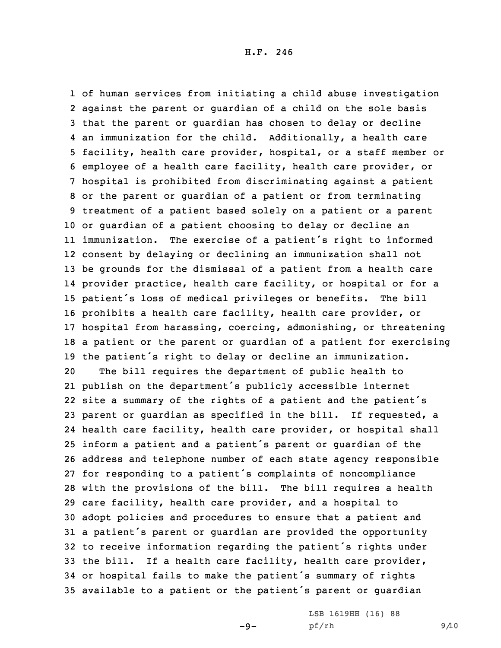of human services from initiating <sup>a</sup> child abuse investigation against the parent or guardian of <sup>a</sup> child on the sole basis that the parent or guardian has chosen to delay or decline an immunization for the child. Additionally, <sup>a</sup> health care facility, health care provider, hospital, or <sup>a</sup> staff member or employee of <sup>a</sup> health care facility, health care provider, or hospital is prohibited from discriminating against <sup>a</sup> patient or the parent or guardian of <sup>a</sup> patient or from terminating treatment of <sup>a</sup> patient based solely on <sup>a</sup> patient or <sup>a</sup> parent or guardian of <sup>a</sup> patient choosing to delay or decline an immunization. The exercise of <sup>a</sup> patient's right to informed consent by delaying or declining an immunization shall not be grounds for the dismissal of <sup>a</sup> patient from <sup>a</sup> health care provider practice, health care facility, or hospital or for <sup>a</sup> patient's loss of medical privileges or benefits. The bill prohibits <sup>a</sup> health care facility, health care provider, or hospital from harassing, coercing, admonishing, or threatening <sup>a</sup> patient or the parent or guardian of <sup>a</sup> patient for exercising the patient's right to delay or decline an immunization. The bill requires the department of public health to publish on the department's publicly accessible internet site <sup>a</sup> summary of the rights of <sup>a</sup> patient and the patient's parent or guardian as specified in the bill. If requested, <sup>a</sup> health care facility, health care provider, or hospital shall

 inform <sup>a</sup> patient and <sup>a</sup> patient's parent or guardian of the address and telephone number of each state agency responsible for responding to <sup>a</sup> patient's complaints of noncompliance with the provisions of the bill. The bill requires <sup>a</sup> health care facility, health care provider, and <sup>a</sup> hospital to adopt policies and procedures to ensure that <sup>a</sup> patient and <sup>a</sup> patient's parent or guardian are provided the opportunity to receive information regarding the patient's rights under the bill. If <sup>a</sup> health care facility, health care provider, or hospital fails to make the patient's summary of rights available to <sup>a</sup> patient or the patient's parent or guardian

 $-9-$ 

LSB 1619HH (16) 88 pf/rh 9/10